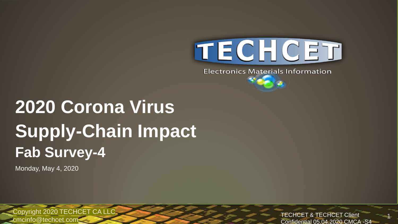

**Electronics Materials Information** 

# **2020 Corona Virus Supply-Chain Impact Fab Survey-4**

Monday, May 4, 2020

Copyright 2020 TECHCET CA LLC TECHCET CHE TECHCET Client cmcinfo@techcet.com

Confidential 05.04.2020 CMCA -S4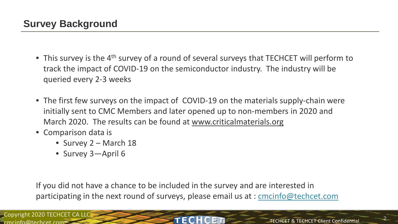- This survey is the 4<sup>th</sup> survey of a round of several surveys that TECHCET will perform to track the impact of COVID-19 on the semiconductor industry. The industry will be queried every 2-3 weeks
- The first few surveys on the impact of COVID-19 on the materials supply-chain were initially sent to CMC Members and later opened up to non-members in 2020 and March 2020. The results can be found at [www.criticalmaterials.org](http://www.criticalmaterials.org/)
- Comparison data is
	- Survey 2 March 18
	- Survey 3-April 6

If you did not have a chance to be included in the survey and are interested in participating in the next round of surveys, please email us at : [cmcinfo@techcet.com](mailto:cmcinfo@techcet.com)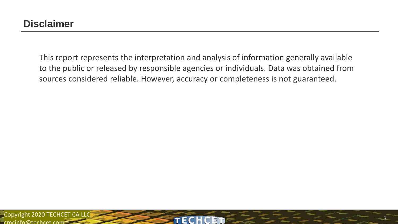This report represents the interpretation and analysis of information generally available to the public or released by responsible agencies or individuals. Data was obtained from sources considered reliable. However, accuracy or completeness is not guaranteed.

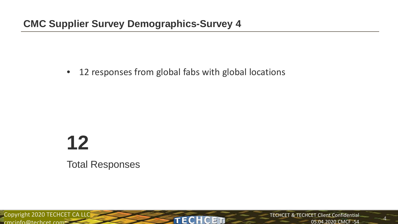• 12 responses from global fabs with global locations

# **12** Total Responses

Copyright 2020 TECHCET CA LLC<br>
FECHCET  $c$ mcinfo@techcet.com $=$ 

TECHCET & TECHCET Client Confidential 05.04.2020 CMCF -S4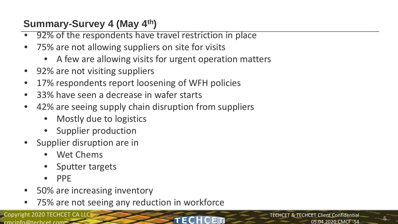# **Summary-Survey 4 (May 4th)**

- 92% of the respondents have travel restriction in place
- 75% are not allowing suppliers on site for visits
	- A few are allowing visits for urgent operation matters
- 92% are not visiting suppliers
- 17% respondents report loosening of WFH policies
- 33% have seen a decrease in wafer starts
- 42% are seeing supply chain disruption from suppliers
	- Mostly due to logistics
	- Supplier production
- Supplier disruption are in
	- Wet Chems
	- Sputter targets
	- PPE
- 50% are increasing inventory
- 75% are not seeing any reduction in workforce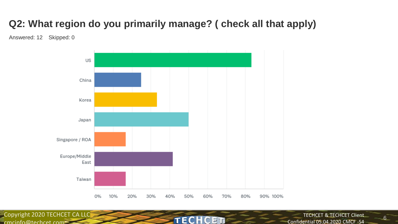# **Q2: What region do you primarily manage? ( check all that apply)**

Answered: 12 Skipped: 0



Copyright 2020 TECHCET CALLC

TECHCET & TECHCET Client Confidential 05.04.2020 CMCF -S4 TECHCET COMPLETE COMPLETE COMPLETE COMPLETE COMPLETE COMPLETE COMPLETE COMPLETE COMPLETE COMPLETE COMPLETE COMPLETE COMPLETE COMPLETE COMPLETE COMPLETE COMPLETE COMPLETE COMPLETE COMPLETE COMPLETE COMPLETE COMPLETE COMPLET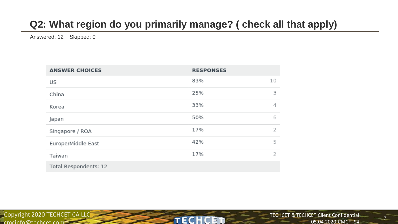# **Q2: What region do you primarily manage? ( check all that apply)**

**TECHCET** 

Answered: 12 Skipped: 0

| <b>ANSWER CHOICES</b> | <b>RESPONSES</b> |   |
|-----------------------|------------------|---|
| US                    | 83%<br>10        |   |
| China                 | 25%              | 3 |
| Korea                 | 33%              | 4 |
| Japan                 | 50%              | 6 |
| Singapore / ROA       | 17%              | 2 |
| Europe/Middle East    | 42%              | 5 |
| Taiwan                | 17%              | 2 |
| Total Respondents: 12 |                  |   |

Copyright 2020 TECHCET CA LLC  $c$ mcinfo@techcet.com $=$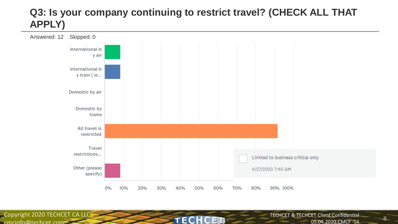#### **Q3: Is your company continuing to restrict travel? (CHECK ALL THAT APPLY)**



**TECHCET** 

Copyright 2020 TECHCET CA LLC cmcinfo@techcet.com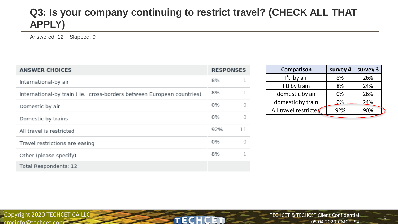#### **Q3: Is your company continuing to restrict travel? (CHECK ALL THAT APPLY)**

**TECHCET** 

Answered: 12 Skipped: 0

| <b>ANSWER CHOICES</b>                                                 |     | <b>RESPONSES</b> |
|-----------------------------------------------------------------------|-----|------------------|
| International-by air                                                  | 8%  |                  |
| International-by train (ie. cross-borders between European countries) | 8%  |                  |
| Domestic by air                                                       | 0%  | Ω                |
| Domestic by trains                                                    | 0%  |                  |
| All travel is restricted                                              | 92% | 11               |
| Travel restrictions are easing                                        | 0%  | Ω                |
| Other (please specify)                                                | 8%  | 1.               |
| Total Respondents: 12                                                 |     |                  |

| Comparison            | survey 4 | survey 3 |
|-----------------------|----------|----------|
| I'tl by air           | 8%       | 26%      |
| I'tl by train         | 8%       | 24%      |
| domestic by air       | 0%       | 26%      |
| domestic by train     | 0%       | 24%      |
| All travel restricted | 92%      | 90%      |
|                       |          |          |

Copyright 2020 TECHCET CA LLC cmcinfo@techcet.com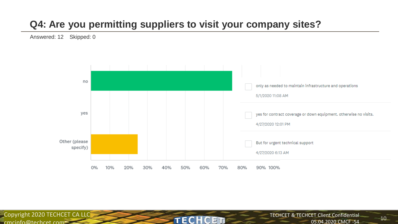# **Q4: Are you permitting suppliers to visit your company sites?**

TECH

Answered: 12 Skipped: 0



F T

Copyright 2020 TECHCET CA LLC  $c$ mcinfo@techcet.com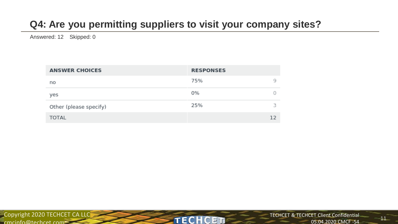# **Q4: Are you permitting suppliers to visit your company sites?**

Answered: 12 Skipped: 0

| <b>ANSWER CHOICES</b>  | <b>RESPONSES</b> |
|------------------------|------------------|
| no                     | 75%<br>q         |
| yes                    | 0%               |
| Other (please specify) | з<br>25%         |
| <b>TOTAL</b>           | 12               |

**TECHCET** 

Copyright 2020 TECHCET CA LLC cmcinfo@techcet.com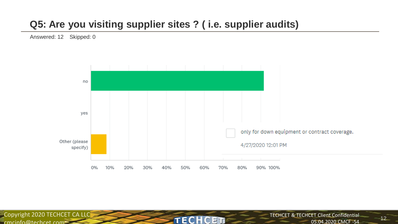#### **Q5: Are you visiting supplier sites ? ( i.e. supplier audits)**

Answered: 12 Skipped: 0



**TECH** 

CET

Copyright 2020 TECHCET CA LLC  $c$ mcinfo@techcet.com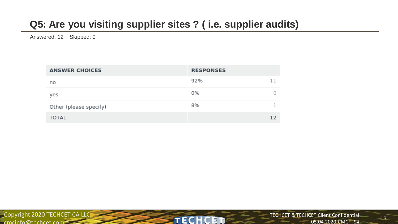# **Q5: Are you visiting supplier sites ? ( i.e. supplier audits)**

Answered: 12 Skipped: 0

| <b>ANSWER CHOICES</b>  | <b>RESPONSES</b> |
|------------------------|------------------|
| no                     | 92%<br>11        |
| yes                    | 0%               |
| Other (please specify) | 8%               |
| <b>TOTAL</b>           | 12               |

**TECHCET**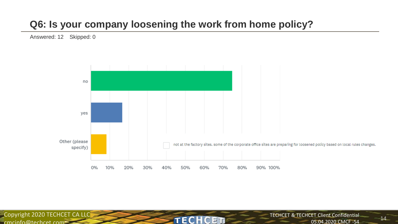#### **Q6: Is your company loosening the work from home policy?**

Answered: 12 Skipped: 0



**TECH** 

C ET

Copyright 2020 TECHCET CA LLC  $c$ mcinfo@techcet.com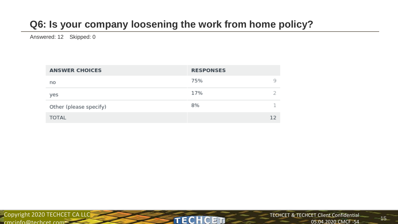# **Q6: Is your company loosening the work from home policy?**

Answered: 12 Skipped: 0

| <b>ANSWER CHOICES</b>  | <b>RESPONSES</b> |
|------------------------|------------------|
| no                     | 75%<br>q         |
| yes                    | 17%              |
| Other (please specify) | 7<br>8%          |
| <b>TOTAL</b>           | 12               |

**TECHCET**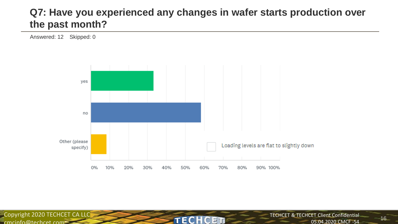#### **Q7: Have you experienced any changes in wafer starts production over the past month?**

Answered: 12 Skipped: 0



**TECHC** 

ET

Copyright 2020 TECHCET CA LLC  $c$ mcinfo@techcet.com

 $-16$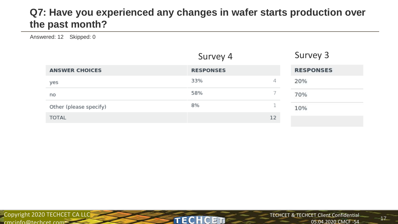#### **Q7: Have you experienced any changes in wafer starts production over the past month?**

Answered: 12 Skipped: 0

|                        | Survey 4         |        | Survey 3         |
|------------------------|------------------|--------|------------------|
| <b>ANSWER CHOICES</b>  | <b>RESPONSES</b> |        | <b>RESPONSES</b> |
| yes                    | 33%              | 4      | 20%              |
| no                     | 58%              |        | 70%              |
| Other (please specify) | 8%               | $\sim$ | 10%              |
| <b>TOTAL</b>           |                  | 12     |                  |

**TECHCET**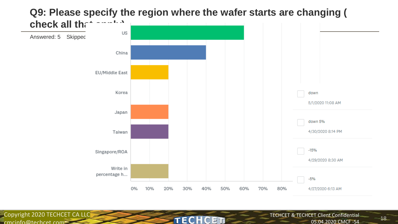

**TECH** 

C ET

Copyright 2020 TECHCET CA LLC

cmcinfo@techcet.com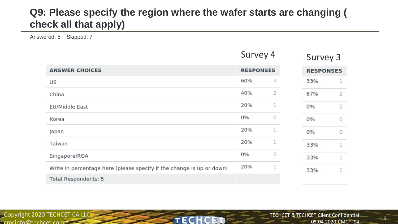#### **Q9: Please specify the region where the wafer starts are changing ( check all that apply)**

Answered: 5 Skipped: 7

|                                                                       | Survey 4         |   | Survey 3 |   |  |  |  |  |  |  |  |  |  |  |                  |  |
|-----------------------------------------------------------------------|------------------|---|----------|---|--|--|--|--|--|--|--|--|--|--|------------------|--|
| <b>ANSWER CHOICES</b>                                                 | <b>RESPONSES</b> |   |          |   |  |  |  |  |  |  |  |  |  |  | <b>RESPONSES</b> |  |
| US                                                                    | 60%              | з | 33%      | 1 |  |  |  |  |  |  |  |  |  |  |                  |  |
| China                                                                 | 40%              | 2 | 67%      | 2 |  |  |  |  |  |  |  |  |  |  |                  |  |
| EU/Middle East                                                        | 20%              |   | 0%       | 0 |  |  |  |  |  |  |  |  |  |  |                  |  |
| Korea                                                                 | 0%               | 0 | 0%       | 0 |  |  |  |  |  |  |  |  |  |  |                  |  |
| Japan                                                                 | 20%              |   | 0%       | 0 |  |  |  |  |  |  |  |  |  |  |                  |  |
| Taiwan                                                                | 20%              |   | 33%      | 1 |  |  |  |  |  |  |  |  |  |  |                  |  |
| Singapore/ROA                                                         | 0%               | 0 | 33%      | 1 |  |  |  |  |  |  |  |  |  |  |                  |  |
| Write in percentage here (please specify if the change is up or down) | 20%              |   | 33%      | 1 |  |  |  |  |  |  |  |  |  |  |                  |  |
| Total Respondents: 5                                                  |                  |   |          |   |  |  |  |  |  |  |  |  |  |  |                  |  |

**TECHCET** 

Copyright 2020 TECHCET CA LLC  $c$ mcinfo@techcet.com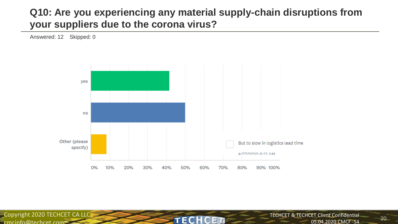#### **Q10: Are you experiencing any material supply-chain disruptions from your suppliers due to the corona virus?**

Answered: 12 Skipped: 0



**TECH** 

 $\mathbb{C}$ ET

Copyright 2020 TECHCET CA LLC  $c$ mcinfo@techcet.com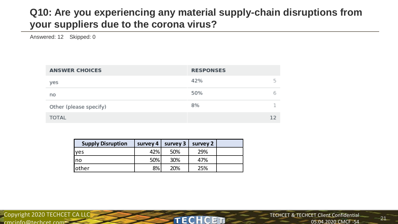#### **Q10: Are you experiencing any material supply-chain disruptions from your suppliers due to the corona virus?**

Answered: 12 Skipped: 0

| <b>ANSWER CHOICES</b>  | <b>RESPONSES</b> |
|------------------------|------------------|
| yes                    | г,<br>42%        |
| no                     | 50%<br>ь         |
| Other (please specify) | 8%               |
| <b>TOTAL</b>           | 12               |

| <b>Supply Disruption</b> | survey 4 $\parallel$ | survey 3 | survey 2 |  |
|--------------------------|----------------------|----------|----------|--|
| lves                     | 42%                  | 50%      | 29%      |  |
| Ino                      | 50%                  | 30%      | 47%      |  |
| lother                   | 8%                   | 20%      | 25%      |  |

**TECH** 

 $\mathbb{C}$ ET

Copyright 2020 TECHCET CA LLC  $c$ mcinfo@techcet.com $\geq$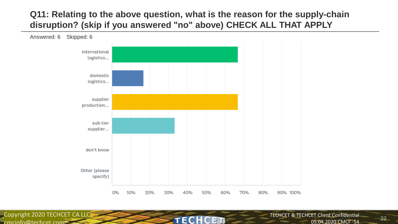#### **Q11: Relating to the above question, what is the reason for the supply-chain disruption? (skip if you answered "no" above) CHECK ALL THAT APPLY**

TECH

C FT



Copyright 2020 TECHCET CA LLC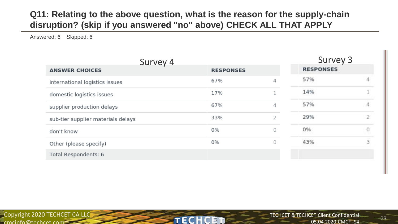#### **Q11: Relating to the above question, what is the reason for the supply-chain disruption? (skip if you answered "no" above) CHECK ALL THAT APPLY**

Answered: 6 Skipped: 6

| Survey 4                           |                  |   | Survey 3         |          |
|------------------------------------|------------------|---|------------------|----------|
| <b>ANSWER CHOICES</b>              | <b>RESPONSES</b> |   | <b>RESPONSES</b> |          |
| international logistics issues     | 67%              | 4 | 57%              |          |
| domestic logistics issues          | 17%              |   | 14%              |          |
| supplier production delays         | 67%              | 4 | 57%              |          |
| sub-tier supplier materials delays | 33%              | 2 | 29%              |          |
| don't know                         | 0%               | 0 | 0%               | $\alpha$ |
| Other (please specify)             | 0%               | 0 | 43%              | 3        |
| Total Respondents: 6               |                  |   |                  |          |

**TECHCET**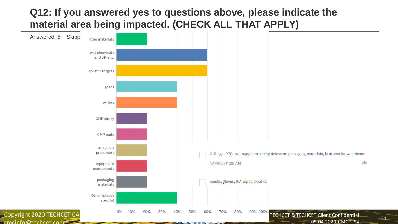#### **Q12: If you answered yes to questions above, please indicate the material area being impacted. (CHECK ALL THAT APPLY)**

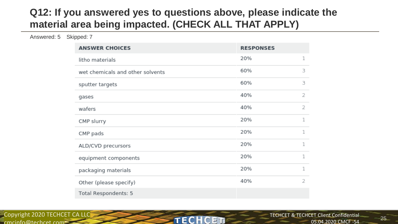#### **Q12: If you answered yes to questions above, please indicate the material area being impacted. (CHECK ALL THAT APPLY)**

Answered: 5 Skipped: 7

| <b>ANSWER CHOICES</b>            | <b>RESPONSES</b> |   |
|----------------------------------|------------------|---|
| litho materials                  | 20%              | 1 |
| wet chemicals and other solvents | 60%              | З |
| sputter targets                  | 60%              | з |
| gases                            | 40%              | 2 |
| wafers                           | 40%              | 2 |
| CMP slurry                       | 20%              | 1 |
| CMP pads                         | 20%              | 1 |
| ALD/CVD precursors               | 20%              | 1 |
| equipment components             | 20%              | 1 |
| packaging materials              | 20%              | 1 |
| Other (please specify)           | 40%              | 2 |
| Total Respondents: 5             |                  |   |

TECH

C ET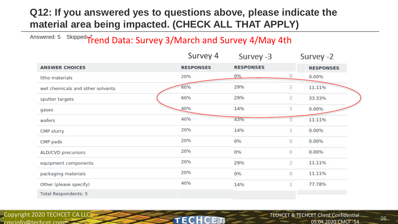#### **Q12: If you answered yes to questions above, please indicate the material area being impacted. (CHECK ALL THAT APPLY)**

#### Answered: 5 Skipped: Trend Data: Survey 3/March and Survey 4/May 4th

|                                  | Survey 4         | Survey -3        |                | Survey -2<br><b>RESPONSES</b> |  |
|----------------------------------|------------------|------------------|----------------|-------------------------------|--|
| <b>ANSWER CHOICES</b>            | <b>RESPONSES</b> | <b>RESPONSES</b> |                |                               |  |
| litho materials                  | 20%              | 0%               | O              | 0.00%                         |  |
| wet chemicals and other solvents | 60%              | 29%              | $\overline{2}$ | 11.11%                        |  |
| sputter targets                  | 60%              | 29%              | 2              | 33.33%                        |  |
| gases                            | 40%              | 14%              |                | 0.00%                         |  |
| wafers                           | 40%              | 43%              |                | 11.11%                        |  |
| CMP slurry                       | 20%              | 14%              |                | 0.00%                         |  |
| CMP pads                         | 20%              | 0%               | $\Omega$       | 0.00%                         |  |
| ALD/CVD precursors               | 20%              | 0%               | 0              | 0.00%                         |  |
| equipment components             | 20%              | 29%              | $\overline{2}$ | 11.11%                        |  |
| packaging materials              | 20%              | 0%               | O              | 11.11%                        |  |
| Other (please specify)           | 40%              | 14%              |                | 77.78%                        |  |
| Total Respondents: 5             |                  |                  |                |                               |  |

**TECH** 

C FT

Copyright 2020 TECHCET CA LLC  $c$ mcinfo@techcet.com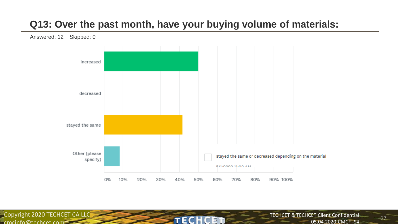#### **Q13: Over the past month, have your buying volume of materials:**



**TECH** 

C ET

Copyright 2020 TECHCET CA LLC

 $c$ mcinfo@techcet.com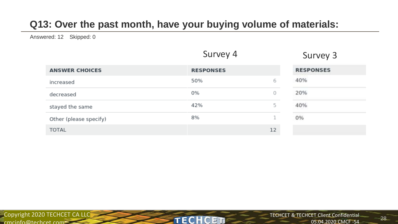# **Q13: Over the past month, have your buying volume of materials:**

Answered: 12 Skipped: 0

|                        | Survey 4         |    | Survey 3         |
|------------------------|------------------|----|------------------|
| <b>ANSWER CHOICES</b>  | <b>RESPONSES</b> |    | <b>RESPONSES</b> |
| increased              | 50%              | 6  | 40%              |
| decreased              | 0%               | 0  | 20%              |
| stayed the same        | 42%              | 5  | 40%              |
| Other (please specify) | 8%               | 1  | 0%               |
| <b>TOTAL</b>           |                  | 12 |                  |

**TECHCET** 

Copyright 2020 TECHCET CA LLC  $c$ mcinfo@techcet.com $=$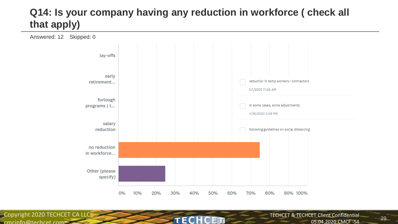# **Q14: Is your company having any reduction in workforce ( check all that apply)**



**TECH** 

C FT.

Copyright 2020 TECHCET CA LLC cmcinfo@techcet.com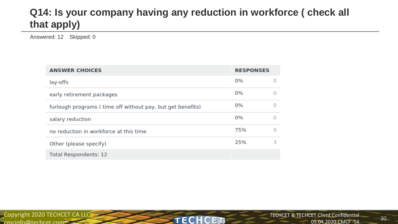# **Q14: Is your company having any reduction in workforce ( check all that apply)**

**TECHCET** 

Answered: 12 Skipped: 0

| <b>ANSWER CHOICES</b>                                      |     | <b>RESPONSES</b> |  |
|------------------------------------------------------------|-----|------------------|--|
| lay-offs                                                   | 0%  |                  |  |
| early retirement packages                                  | 0%  | Ω                |  |
| furlough programs (time off without pay, but get benefits) | 0%  | Ω                |  |
| salary reduction                                           | 0%  | Ω                |  |
| no reduction in workforce at this time                     | 75% | 9                |  |
| Other (please specify)                                     | 25% | з                |  |
| Total Respondents: 12                                      |     |                  |  |